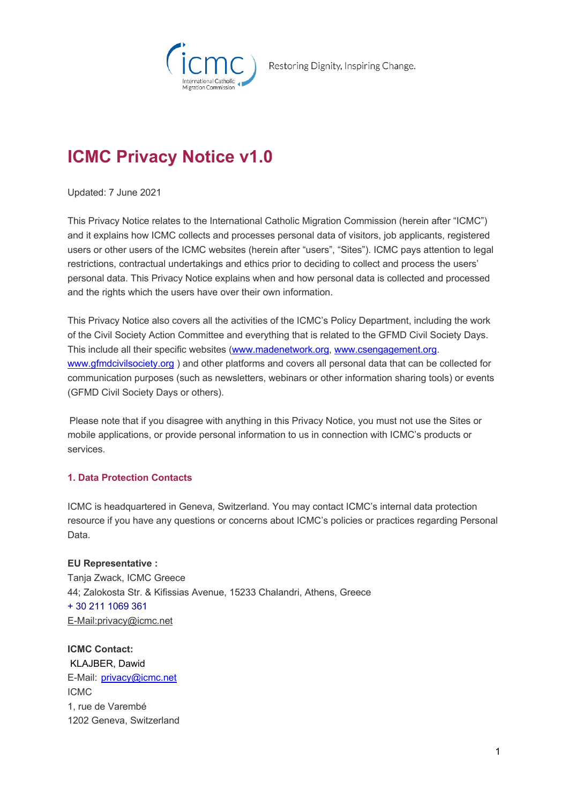

Restoring Dignity, Inspiring Change.

# **ICMC Privacy Notice v1.0**

Updated: 7 June 2021

This Privacy Notice relates to the International Catholic Migration Commission (herein after "ICMC") and it explains how ICMC collects and processes personal data of visitors, job applicants, registered users or other users of the ICMC websites (herein after "users", "Sites"). ICMC pays attention to legal restrictions, contractual undertakings and ethics prior to deciding to collect and process the users' personal data. This Privacy Notice explains when and how personal data is collected and processed and the rights which the users have over their own information.

This Privacy Notice also covers all the activities of the ICMC's Policy Department, including the work of the Civil Society Action Committee and everything that is related to the GFMD Civil Society Days. This include all their specific websites (www.madenetwork.org, www.csengagement.org. www.gfmdcivilsociety.org ) and other platforms and covers all personal data that can be collected for communication purposes (such as newsletters, webinars or other information sharing tools) or events (GFMD Civil Society Days or others).

 Please note that if you disagree with anything in this Privacy Notice, you must not use the Sites or mobile applications, or provide personal information to us in connection with ICMC's products or services. 

# **1. Data Protection Contacts**

ICMC is headquartered in Geneva, Switzerland. You may contact ICMC's internal data protection resource if you have any questions or concerns about ICMC's policies or practices regarding Personal Data.

**EU Representative :** Tanja Zwack, ICMC Greece 44; Zalokosta Str. & Kifissias Avenue, 15233 Chalandri, Athens, Greece + 30 211 1069 361 E-Mail:privacy@icmc.net

**ICMC Contact:** KLAJBER, Dawid E-Mail:  privacy@icmc.net ICMC 1, rue de Varembé 1202 Geneva, Switzerland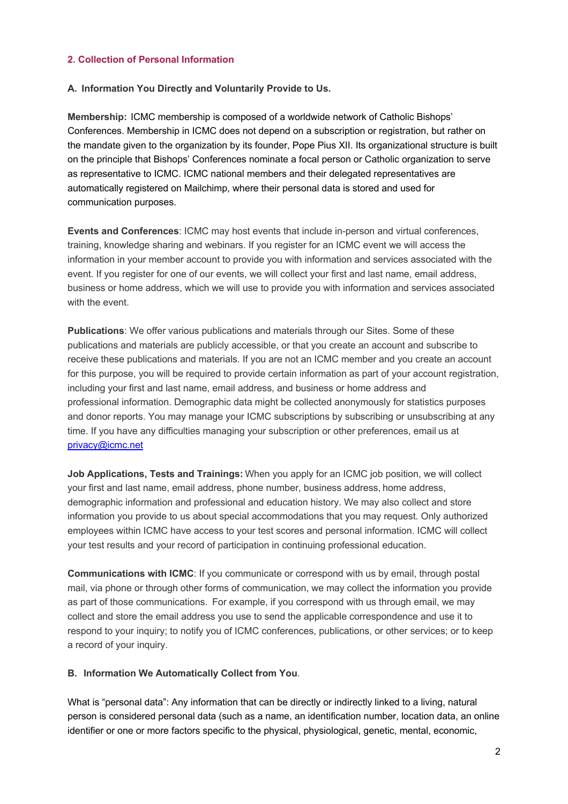## **2. Collection of Personal Information**

#### **A.  Information You Directly and Voluntarily Provide to Us.**

**Membership:**ICMC membership is composed of a worldwide network of Catholic Bishops' Conferences. Membership in ICMC does not depend on a subscription or registration, but rather on the mandate given to the organization by its founder, Pope Pius XII. Its organizational structure is built on the principle that Bishops' Conferences nominate a focal person or Catholic organization to serve as representative to ICMC. ICMC national members and their delegated representatives are automatically registered on Mailchimp, where their personal data is stored and used for communication purposes.

**Events and Conferences**: ICMC may host events that include in-person and virtual conferences, training, knowledge sharing and webinars. If you register for an ICMC event we will access the information in your member account to provide you with information and services associated with the event. If you register for one of our events, we will collect your first and last name, email address, business or home address, which we will use to provide you with information and services associated with the event.

**Publications**: We offer various publications and materials through our Sites. Some of these publications and materials are publicly accessible, or that you create an account and subscribe to receive these publications and materials. If you are not an ICMC member and you create an account for this purpose, you will be required to provide certain information as part of your account registration, including your first and last name, email address, and business or home address and professional information. Demographic data might be collected anonymously for statistics purposes and donor reports. You may manage your ICMC subscriptions by subscribing or unsubscribing at any time. If you have any difficulties managing your subscription or other preferences, email us at privacy@icmc.net

**Job Applications, Tests and Trainings:**When you apply for an ICMC job position, we will collect your first and last name, email address, phone number, business address, home address, demographic information and professional and education history. We may also collect and store information you provide to us about special accommodations that you may request. Only authorized employees within ICMC have access to your test scores and personal information. ICMC will collect your test results and your record of participation in continuing professional education.

**Communications with ICMC**: If you communicate or correspond with us by email, through postal mail, via phone or through other forms of communication, we may collect the information you provide as part of those communications.  For example, if you correspond with us through email, we may collect and store the email address you use to send the applicable correspondence and use it to respond to your inquiry; to notify you of ICMC conferences, publications, or other services; or to keep a record of your inquiry.

## **B.  Information We Automatically Collect from You**.

What is "personal data": Any information that can be directly or indirectly linked to a living, natural person is considered personal data (such as a name, an identification number, location data, an online identifier or one or more factors specific to the physical, physiological, genetic, mental, economic,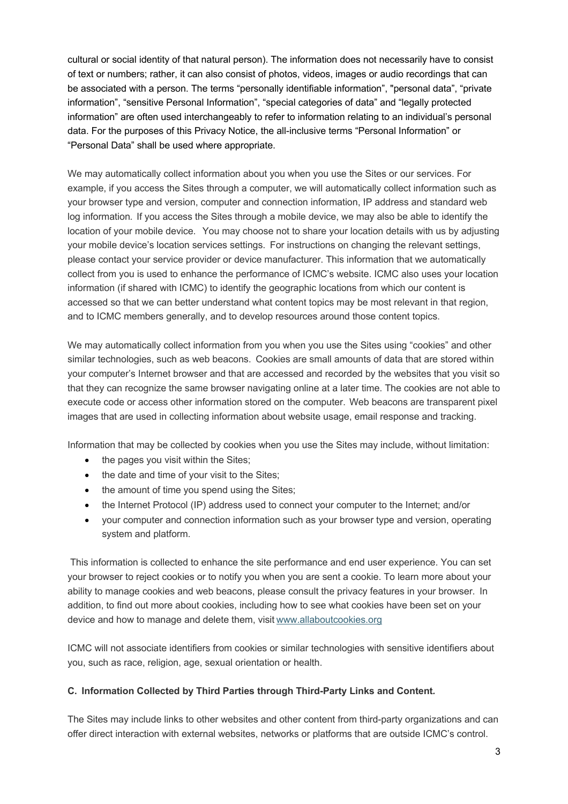cultural or social identity of that natural person). The information does not necessarily have to consist of text or numbers; rather, it can also consist of photos, videos, images or audio recordings that can be associated with a person. The terms "personally identifiable information", "personal data", "private information", "sensitive Personal Information", "special categories of data" and "legally protected information" are often used interchangeably to refer to information relating to an individual's personal data. For the purposes of this Privacy Notice, the all-inclusive terms "Personal Information" or "Personal Data" shall be used where appropriate.

We may automatically collect information about you when you use the Sites or our services. For example, if you access the Sites through a computer, we will automatically collect information such as your browser type and version, computer and connection information, IP address and standard web log information*.* If you access the Sites through a mobile device, we may also be able to identify the location of your mobile device.   You may choose not to share your location details with us by adjusting your mobile device's location services settings.  For instructions on changing the relevant settings, please contact your service provider or device manufacturer. This information that we automatically collect from you is used to enhance the performance of ICMC's website. ICMC also uses your location information (if shared with ICMC) to identify the geographic locations from which our content is accessed so that we can better understand what content topics may be most relevant in that region, and to ICMC members generally, and to develop resources around those content topics.

We may automatically collect information from you when you use the Sites using "cookies" and other similar technologies, such as web beacons.  Cookies are small amounts of data that are stored within your computer's Internet browser and that are accessed and recorded by the websites that you visit so that they can recognize the same browser navigating online at a later time. The cookies are not able to execute code or access other information stored on the computer.  Web beacons are transparent pixel images that are used in collecting information about website usage, email response and tracking.

Information that may be collected by cookies when you use the Sites may include, without limitation:

- the pages you visit within the Sites;
- the date and time of your visit to the Sites;
- the amount of time you spend using the Sites;
- the Internet Protocol (IP) address used to connect your computer to the Internet; and/or
- your computer and connection information such as your browser type and version, operating system and platform.

This information is collected to enhance the site performance and end user experience. You can set your browser to reject cookies or to notify you when you are sent a cookie. To learn more about your ability to manage cookies and web beacons, please consult the privacy features in your browser. In addition, to find out more about cookies, including how to see what cookies have been set on your device and how to manage and delete them, visit www.allaboutcookies.org

ICMC will not associate identifiers from cookies or similar technologies with sensitive identifiers about you, such as race, religion, age, sexual orientation or health.

## **C.  Information Collected by Third Parties through Third-Party Links and Content***.*

The Sites may include links to other websites and other content from third-party organizations and can offer direct interaction with external websites, networks or platforms that are outside ICMC's control.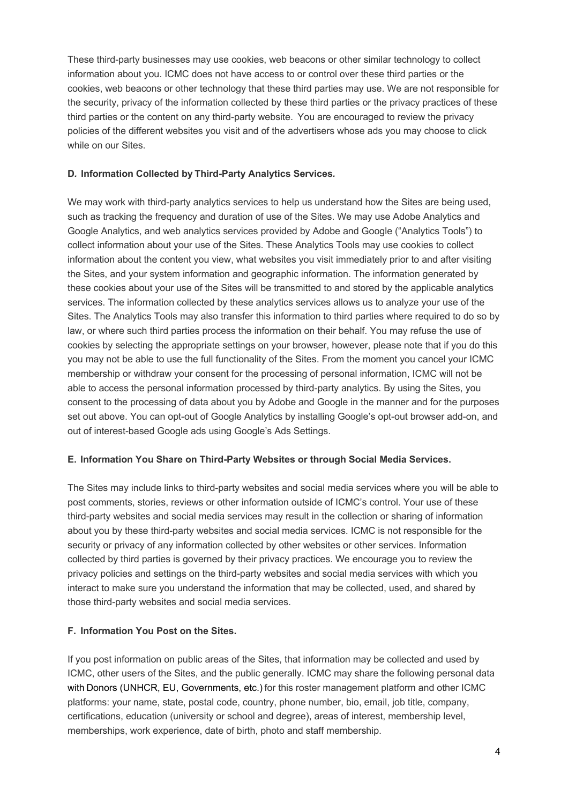These third-party businesses may use cookies, web beacons or other similar technology to collect information about you. ICMC does not have access to or control over these third parties or the cookies, web beacons or other technology that these third parties may use. We are not responsible for the security, privacy of the information collected by these third parties or the privacy practices of these third parties or the content on any third-party website.  You are encouraged to review the privacy policies of the different websites you visit and of the advertisers whose ads you may choose to click while on our Sites.

## **D***.* **Information Collected by Third-Party Analytics Services***.*

We may work with third-party analytics services to help us understand how the Sites are being used, such as tracking the frequency and duration of use of the Sites. We may use Adobe Analytics and Google Analytics, and web analytics services provided by Adobe and Google ("Analytics Tools") to collect information about your use of the Sites. These Analytics Tools may use cookies to collect information about the content you view, what websites you visit immediately prior to and after visiting the Sites, and your system information and geographic information. The information generated by these cookies about your use of the Sites will be transmitted to and stored by the applicable analytics services. The information collected by these analytics services allows us to analyze your use of the Sites. The Analytics Tools may also transfer this information to third parties where required to do so by law, or where such third parties process the information on their behalf. You may refuse the use of cookies by selecting the appropriate settings on your browser, however, please note that if you do this you may not be able to use the full functionality of the Sites. From the moment you cancel your ICMC membership or withdraw your consent for the processing of personal information, ICMC will not be able to access the personal information processed by third-party analytics. By using the Sites, you consent to the processing of data about you by Adobe and Google in the manner and for the purposes set out above. You can opt-out of Google Analytics by installing Google's opt-out browser add-on, and out of interest-based Google ads using Google's Ads Settings.

## **E.  Information You Share on Third-Party Websites or through Social Media Services.**

The Sites may include links to third-party websites and social media services where you will be able to post comments, stories, reviews or other information outside of ICMC's control. Your use of these third-party websites and social media services may result in the collection or sharing of information about you by these third-party websites and social media services. ICMC is not responsible for the security or privacy of any information collected by other websites or other services. Information collected by third parties is governed by their privacy practices. We encourage you to review the privacy policies and settings on the third-party websites and social media services with which you interact to make sure you understand the information that may be collected, used, and shared by those third-party websites and social media services.

# **F.  Information You Post on the Sites.**

If you post information on public areas of the Sites, that information may be collected and used by ICMC, other users of the Sites, and the public generally. ICMC may share the following personal data with Donors (UNHCR, EU, Governments, etc.) for this roster management platform and other ICMC platforms: your name, state, postal code, country, phone number, bio, email, job title, company, certifications, education (university or school and degree), areas of interest, membership level, memberships, work experience, date of birth, photo and staff membership.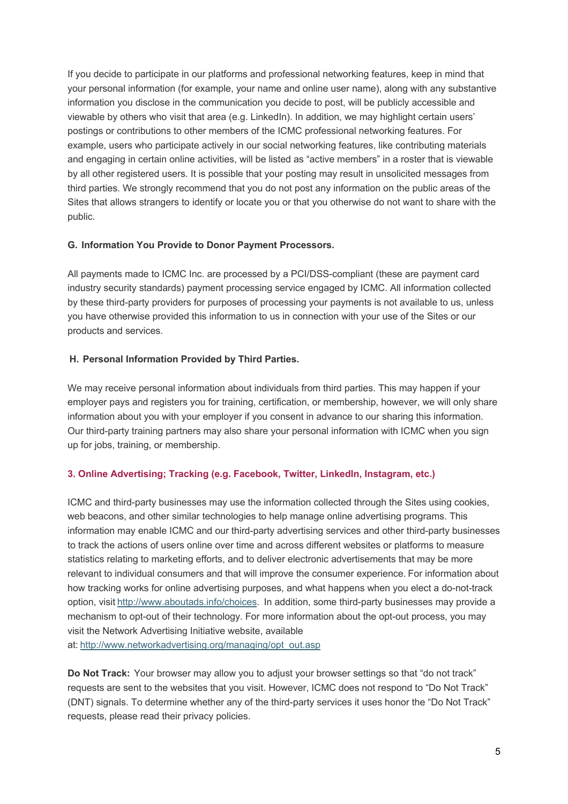If you decide to participate in our platforms and professional networking features, keep in mind that your personal information (for example, your name and online user name), along with any substantive information you disclose in the communication you decide to post, will be publicly accessible and viewable by others who visit that area (e.g. LinkedIn). In addition, we may highlight certain users' postings or contributions to other members of the ICMC professional networking features. For example, users who participate actively in our social networking features, like contributing materials and engaging in certain online activities, will be listed as "active members" in a roster that is viewable by all other registered users. It is possible that your posting may result in unsolicited messages from third parties. We strongly recommend that you do not post any information on the public areas of the Sites that allows strangers to identify or locate you or that you otherwise do not want to share with the public.

## **G. Information You Provide to Donor Payment Processors.**

All payments made to ICMC Inc. are processed by a PCI/DSS-compliant (these are payment card industry security standards) payment processing service engaged by ICMC. All information collected by these third-party providers for purposes of processing your payments is not available to us, unless you have otherwise provided this information to us in connection with your use of the Sites or our products and services.

# **H. Personal Information Provided by Third Parties***.*

We may receive personal information about individuals from third parties. This may happen if your employer pays and registers you for training, certification, or membership, however, we will only share information about you with your employer if you consent in advance to our sharing this information. Our third-party training partners may also share your personal information with ICMC when you sign up for jobs, training, or membership.

# **3. Online Advertising; Tracking (e.g. Facebook, Twitter, LinkedIn, Instagram, etc.)**

ICMC and third-party businesses may use the information collected through the Sites using cookies, web beacons, and other similar technologies to help manage online advertising programs. This information may enable ICMC and our third-party advertising services and other third-party businesses to track the actions of users online over time and across different websites or platforms to measure statistics relating to marketing efforts, and to deliver electronic advertisements that may be more relevant to individual consumers and that will improve the consumer experience. For information about how tracking works for online advertising purposes, and what happens when you elect a do-not-track option, visit http://www.aboutads.info/choices.  In addition, some third-party businesses may provide a mechanism to opt-out of their technology. For more information about the opt-out process, you may visit the Network Advertising Initiative website, available at: http://www.networkadvertising.org/managing/opt\_out.asp

**Do Not Track:**Your browser may allow you to adjust your browser settings so that "do not track" requests are sent to the websites that you visit. However, ICMC does not respond to "Do Not Track" (DNT) signals. To determine whether any of the third-party services it uses honor the "Do Not Track" requests, please read their privacy policies.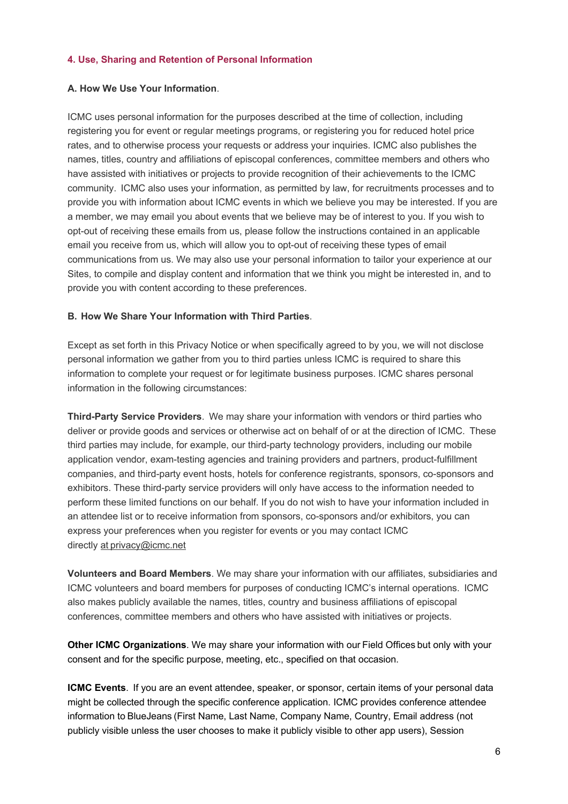## **4. Use, Sharing and Retention of Personal Information**

## **A. How We Use Your Information**.

ICMC uses personal information for the purposes described at the time of collection, including registering you for event or regular meetings programs, or registering you for reduced hotel price rates, and to otherwise process your requests or address your inquiries. ICMC also publishes the names, titles, country and affiliations of episcopal conferences, committee members and others who have assisted with initiatives or projects to provide recognition of their achievements to the ICMC community.  ICMC also uses your information, as permitted by law, for recruitments processes and to provide you with information about ICMC events in which we believe you may be interested. If you are a member, we may email you about events that we believe may be of interest to you. If you wish to opt-out of receiving these emails from us, please follow the instructions contained in an applicable email you receive from us, which will allow you to opt-out of receiving these types of email communications from us. We may also use your personal information to tailor your experience at our Sites, to compile and display content and information that we think you might be interested in, and to provide you with content according to these preferences.

## **B. How We Share Your Information with Third Parties**.

Except as set forth in this Privacy Notice or when specifically agreed to by you, we will not disclose personal information we gather from you to third parties unless ICMC is required to share this information to complete your request or for legitimate business purposes. ICMC shares personal information in the following circumstances:

**Third-Party Service Providers**.  We may share your information with vendors or third parties who deliver or provide goods and services or otherwise act on behalf of or at the direction of ICMC.  These third parties may include, for example, our third-party technology providers, including our mobile application vendor, exam-testing agencies and training providers and partners, product-fulfillment companies, and third-party event hosts, hotels for conference registrants, sponsors, co-sponsors and exhibitors. These third-party service providers will only have access to the information needed to perform these limited functions on our behalf. If you do not wish to have your information included in an attendee list or to receive information from sponsors, co-sponsors and/or exhibitors, you can express your preferences when you register for events or you may contact ICMC directly at privacy@icmc.net

**Volunteers and Board Members**. We may share your information with our affiliates, subsidiaries and ICMC volunteers and board members for purposes of conducting ICMC's internal operations.  ICMC also makes publicly available the names, titles, country and business affiliations of episcopal conferences, committee members and others who have assisted with initiatives or projects.

**Other ICMC Organizations**. We may share your information with our Field Offices but only with your consent and for the specific purpose, meeting, etc., specified on that occasion.

**ICMC Events**.  If you are an event attendee, speaker, or sponsor, certain items of your personal data might be collected through the specific conference application. ICMC provides conference attendee information to BlueJeans (First Name, Last Name, Company Name, Country, Email address (not publicly visible unless the user chooses to make it publicly visible to other app users), Session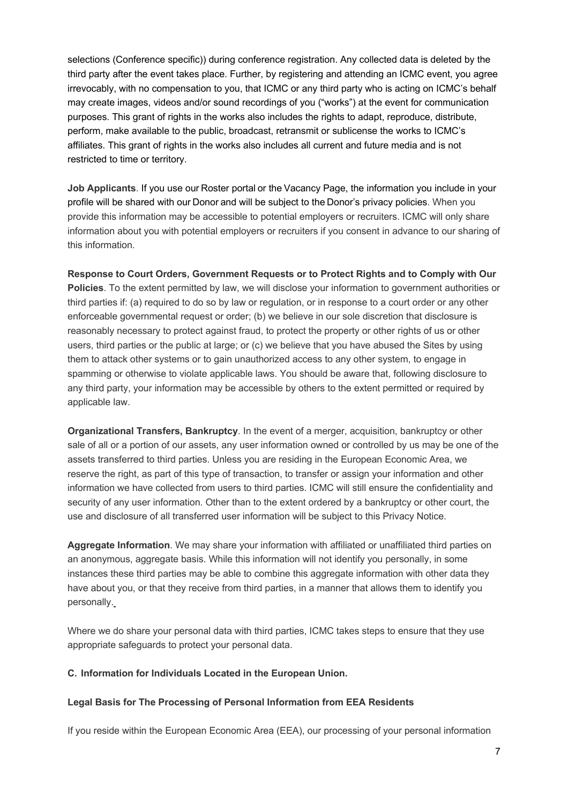selections (Conference specific)) during conference registration. Any collected data is deleted by the third party after the event takes place. Further, by registering and attending an ICMC event, you agree irrevocably, with no compensation to you, that ICMC or any third party who is acting on ICMC's behalf may create images, videos and/or sound recordings of you ("works") at the event for communication purposes. This grant of rights in the works also includes the rights to adapt, reproduce, distribute, perform, make available to the public, broadcast, retransmit or sublicense the works to ICMC's affiliates. This grant of rights in the works also includes all current and future media and is not restricted to time or territory.

**Job Applicants**. If you use our Roster portal or the Vacancy Page, the information you include in your profile will be shared with our Donor and will be subject to the Donor's privacy policies. When you provide this information may be accessible to potential employers or recruiters. ICMC will only share information about you with potential employers or recruiters if you consent in advance to our sharing of this information.

**Response to Court Orders, Government Requests or to Protect Rights and to Comply with Our Policies**. To the extent permitted by law, we will disclose your information to government authorities or third parties if: (a) required to do so by law or regulation, or in response to a court order or any other enforceable governmental request or order; (b) we believe in our sole discretion that disclosure is reasonably necessary to protect against fraud, to protect the property or other rights of us or other users, third parties or the public at large; or (c) we believe that you have abused the Sites by using them to attack other systems or to gain unauthorized access to any other system, to engage in spamming or otherwise to violate applicable laws. You should be aware that, following disclosure to any third party, your information may be accessible by others to the extent permitted or required by applicable law.

**Organizational Transfers, Bankruptcy**. In the event of a merger, acquisition, bankruptcy or other sale of all or a portion of our assets, any user information owned or controlled by us may be one of the assets transferred to third parties. Unless you are residing in the European Economic Area, we reserve the right, as part of this type of transaction, to transfer or assign your information and other information we have collected from users to third parties. ICMC will still ensure the confidentiality and security of any user information. Other than to the extent ordered by a bankruptcy or other court, the use and disclosure of all transferred user information will be subject to this Privacy Notice.

**Aggregate Information**. We may share your information with affiliated or unaffiliated third parties on an anonymous, aggregate basis. While this information will not identify you personally, in some instances these third parties may be able to combine this aggregate information with other data they have about you, or that they receive from third parties, in a manner that allows them to identify you personally.

Where we do share your personal data with third parties, ICMC takes steps to ensure that they use appropriate safeguards to protect your personal data.

# **C. Information for Individuals Located in the European Union.**

## **Legal Basis for The Processing of Personal Information from EEA Residents**

If you reside within the European Economic Area (EEA), our processing of your personal information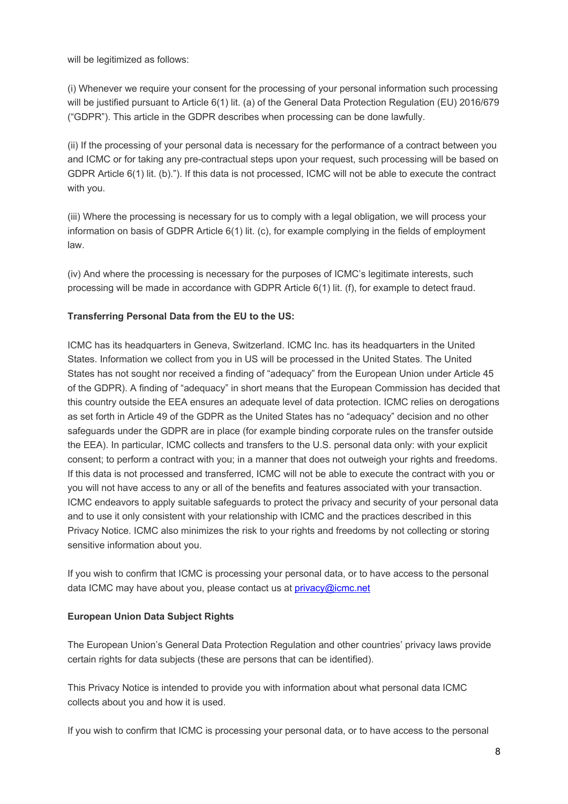will be legitimized as follows: 

(i) Whenever we require your consent for the processing of your personal information such processing will be justified pursuant to Article 6(1) lit. (a) of the General Data Protection Regulation (EU) 2016/679 ("GDPR"). This article in the GDPR describes when processing can be done lawfully.

(ii) If the processing of your personal data is necessary for the performance of a contract between you and ICMC or for taking any pre-contractual steps upon your request, such processing will be based on GDPR Article 6(1) lit. (b)."). If this data is not processed, ICMC will not be able to execute the contract with you.

(iii) Where the processing is necessary for us to comply with a legal obligation, we will process your information on basis of GDPR Article 6(1) lit. (c), for example complying in the fields of employment law.

(iv) And where the processing is necessary for the purposes of ICMC's legitimate interests, such processing will be made in accordance with GDPR Article 6(1) lit. (f), for example to detect fraud.

# **Transferring Personal Data from the EU to the US:**

ICMC has its headquarters in Geneva, Switzerland. ICMC Inc. has its headquarters in the United States. Information we collect from you in US will be processed in the United States. The United States has not sought nor received a finding of "adequacy" from the European Union under Article 45 of the GDPR). A finding of "adequacy" in short means that the European Commission has decided that this country outside the EEA ensures an adequate level of data protection. ICMC relies on derogations as set forth in Article 49 of the GDPR as the United States has no "adequacy" decision and no other safeguards under the GDPR are in place (for example binding corporate rules on the transfer outside the EEA). In particular, ICMC collects and transfers to the U.S. personal data only: with your explicit consent; to perform a contract with you; in a manner that does not outweigh your rights and freedoms. If this data is not processed and transferred, ICMC will not be able to execute the contract with you or you will not have access to any or all of the benefits and features associated with your transaction. ICMC endeavors to apply suitable safeguards to protect the privacy and security of your personal data and to use it only consistent with your relationship with ICMC and the practices described in this Privacy Notice. ICMC also minimizes the risk to your rights and freedoms by not collecting or storing sensitive information about you.

If you wish to confirm that ICMC is processing your personal data, or to have access to the personal data ICMC may have about you, please contact us at *privacy@icmc.net* 

# **European Union Data Subject Rights**

The European Union's General Data Protection Regulation and other countries' privacy laws provide certain rights for data subjects (these are persons that can be identified).

This Privacy Notice is intended to provide you with information about what personal data ICMC collects about you and how it is used. 

If you wish to confirm that ICMC is processing your personal data, or to have access to the personal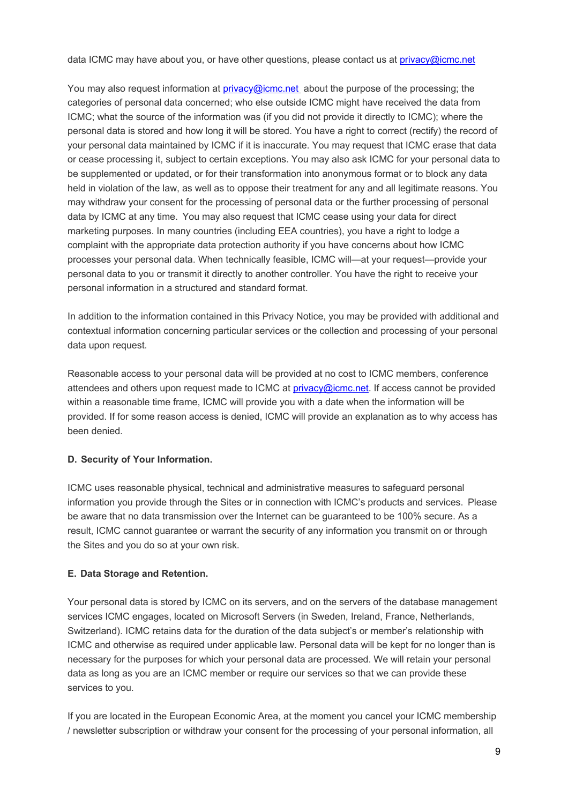data ICMC may have about you, or have other questions, please contact us at privacy@icmc.net

You may also request information at privacy@icmc.net about the purpose of the processing; the categories of personal data concerned; who else outside ICMC might have received the data from ICMC; what the source of the information was (if you did not provide it directly to ICMC); where the personal data is stored and how long it will be stored. You have a right to correct (rectify) the record of your personal data maintained by ICMC if it is inaccurate. You may request that ICMC erase that data or cease processing it, subject to certain exceptions. You may also ask ICMC for your personal data to be supplemented or updated, or for their transformation into anonymous format or to block any data held in violation of the law, as well as to oppose their treatment for any and all legitimate reasons. You may withdraw your consent for the processing of personal data or the further processing of personal data by ICMC at any time.  You may also request that ICMC cease using your data for direct marketing purposes. In many countries (including EEA countries), you have a right to lodge a complaint with the appropriate data protection authority if you have concerns about how ICMC processes your personal data. When technically feasible, ICMC will—at your request—provide your personal data to you or transmit it directly to another controller. You have the right to receive your personal information in a structured and standard format.

In addition to the information contained in this Privacy Notice, you may be provided with additional and contextual information concerning particular services or the collection and processing of your personal data upon request.

Reasonable access to your personal data will be provided at no cost to ICMC members, conference attendees and others upon request made to ICMC at  $\frac{prvacy@icmc.net}{rmc.net}$ . If access cannot be provided within a reasonable time frame, ICMC will provide you with a date when the information will be provided. If for some reason access is denied, ICMC will provide an explanation as to why access has been denied.

# **D.  Security of Your Information.**

ICMC uses reasonable physical, technical and administrative measures to safeguard personal information you provide through the Sites or in connection with ICMC's products and services.  Please be aware that no data transmission over the Internet can be guaranteed to be 100% secure. As a result, ICMC cannot guarantee or warrant the security of any information you transmit on or through the Sites and you do so at your own risk.

## **E.****Data Storage and Retention.**

Your personal data is stored by ICMC on its servers, and on the servers of the database management services ICMC engages, located on Microsoft Servers (in Sweden, Ireland, France, Netherlands, Switzerland). ICMC retains data for the duration of the data subject's or member's relationship with ICMC and otherwise as required under applicable law. Personal data will be kept for no longer than is necessary for the purposes for which your personal data are processed. We will retain your personal data as long as you are an ICMC member or require our services so that we can provide these services to you.

If you are located in the European Economic Area, at the moment you cancel your ICMC membership / newsletter subscription or withdraw your consent for the processing of your personal information, all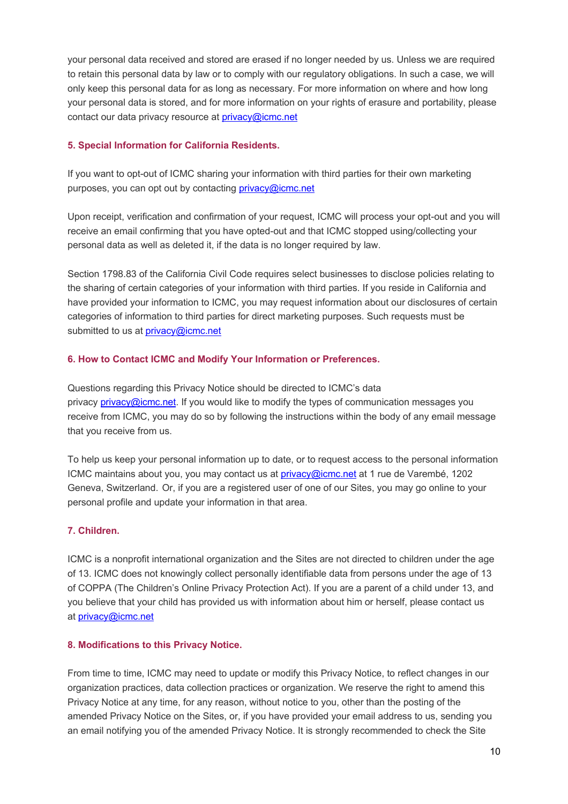your personal data received and stored are erased if no longer needed by us. Unless we are required to retain this personal data by law or to comply with our regulatory obligations. In such a case, we will only keep this personal data for as long as necessary. For more information on where and how long your personal data is stored, and for more information on your rights of erasure and portability, please contact our data privacy resource at privacy@icmc.net

## **5. Special Information for California Residents.**

If you want to opt-out of ICMC sharing your information with third parties for their own marketing purposes, you can opt out by contacting privacy@icmc.net

Upon receipt, verification and confirmation of your request, ICMC will process your opt-out and you will receive an email confirming that you have opted-out and that ICMC stopped using/collecting your personal data as well as deleted it, if the data is no longer required by law.

Section 1798.83 of the California Civil Code requires select businesses to disclose policies relating to the sharing of certain categories of your information with third parties. If you reside in California and have provided your information to ICMC, you may request information about our disclosures of certain categories of information to third parties for direct marketing purposes. Such requests must be submitted to us at privacy@icmc.net

# **6. How to Contact ICMC and Modify Your Information or Preferences.**

Questions regarding this Privacy Notice should be directed to ICMC's data privacy privacy@icmc.net. If you would like to modify the types of communication messages you receive from ICMC, you may do so by following the instructions within the body of any email message that you receive from us.

To help us keep your personal information up to date, or to request access to the personal information ICMC maintains about you, you may contact us at privacy@icmc.net at 1 rue de Varembé, 1202 Geneva, Switzerland.  Or, if you are a registered user of one of our Sites, you may go online to your personal profile and update your information in that area.

# **7. Children.**

ICMC is a nonprofit international organization and the Sites are not directed to children under the age of 13. ICMC does not knowingly collect personally identifiable data from persons under the age of 13 of COPPA (The Children's Online Privacy Protection Act). If you are a parent of a child under 13, and you believe that your child has provided us with information about him or herself, please contact us at privacy@icmc.net

## **8. Modifications to this Privacy Notice.**

From time to time, ICMC may need to update or modify this Privacy Notice, to reflect changes in our organization practices, data collection practices or organization. We reserve the right to amend this Privacy Notice at any time, for any reason, without notice to you, other than the posting of the amended Privacy Notice on the Sites, or, if you have provided your email address to us, sending you an email notifying you of the amended Privacy Notice. It is strongly recommended to check the Site